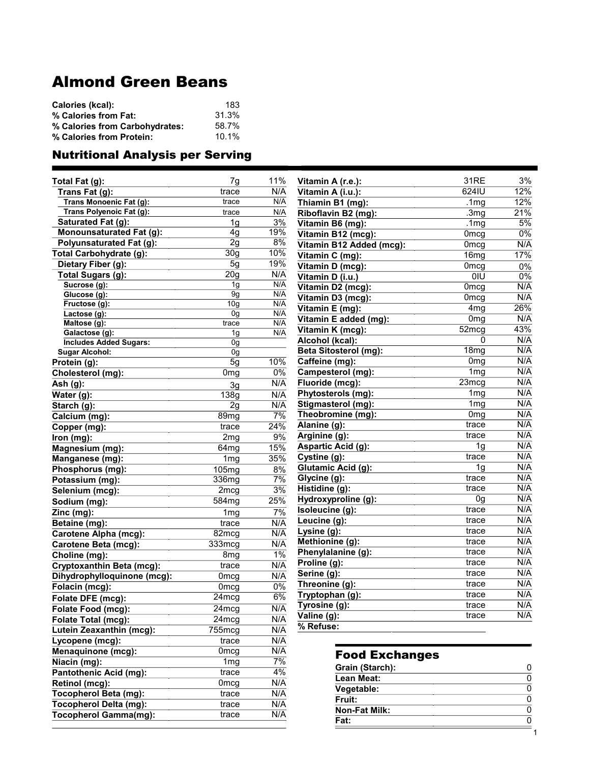## Almond Green Beans

| Calories (kcal):               | 183   |
|--------------------------------|-------|
| % Calories from Fat:           | 31.3% |
| % Calories from Carbohydrates: | 58.7% |
| % Calories from Protein:       | 10.1% |

## Nutritional Analysis per Serving

| Total Fat (g):                   | 7g                | 11%              | Vitamin A (r.e.):            | 31RE             | 3%             |
|----------------------------------|-------------------|------------------|------------------------------|------------------|----------------|
| Trans Fat (g):                   | trace             | N/A              | Vitamin A (i.u.):            | 624IU            | 12%            |
| Trans Monoenic Fat (g):          | trace             | N/A              | Thiamin B1 (mg):             | .1 <sub>mg</sub> | 12%            |
| Trans Polyenoic Fat (g):         | trace             | N/A              | Riboflavin B2 (mg):          | .3 <sub>mg</sub> | 21%            |
| Saturated Fat (g):               | 1g                | 3%               | Vitamin B6 (mg):             | .1 <sub>mg</sub> | 5%             |
| Monounsaturated Fat (g):         | 4g                | 19%              | Vitamin B12 (mcg):           | 0 <sub>mcg</sub> | $0\%$          |
| <b>Polyunsaturated Fat (g):</b>  | 2g                | 8%               | Vitamin B12 Added (mcg):     | 0 <sub>mcg</sub> | N/A            |
| Total Carbohydrate (g):          | 30 <sub>g</sub>   | 10%              | Vitamin C (mg):              | 16 <sub>mg</sub> | 17%            |
| Dietary Fiber (g):               | 5g                | 19%              | Vitamin D (mcg):             | 0 <sub>mcg</sub> | 0%             |
| Total Sugars (g):                | 20 <sub>g</sub>   | N/A              | Vitamin D (i.u.)             | 0IU              | 0%             |
| Sucrose (g):                     | 1g                | N/A              | Vitamin D2 (mcg):            | 0 <sub>mcg</sub> | N/A            |
| Glucose (g):                     | $\overline{9g}$   | N/A              | Vitamin D3 (mcg):            | 0 <sub>mcg</sub> | N/A            |
| Fructose (g):                    | 10 <sub>g</sub>   | N/A              | Vitamin E (mg):              | 4 <sub>mg</sub>  | 26%            |
| Lactose (g):                     | 0g                | N/A<br>N/A       | Vitamin E added (mg):        | 0 <sub>mg</sub>  | N/A            |
| Maltose (g):<br>Galactose (g):   | trace<br>1g       | N/A              | Vitamin K (mcg):             | 52mg             | 43%            |
| <b>Includes Added Sugars:</b>    | 0g                |                  | Alcohol (kcal):              | 0                | N/A            |
| <b>Sugar Alcohol:</b>            | 0g                |                  | <b>Beta Sitosterol (mg):</b> | 18mg             | N/A            |
| Protein (g):                     | 5g                | 10%              | Caffeine (mg):               | 0 <sub>mg</sub>  | N/A            |
| Cholesterol (mg):                | 0 <sub>mg</sub>   | $0\%$            | Campesterol (mg):            | 1 <sub>mg</sub>  | N/A            |
| Ash (g):                         | 3g                | N/A              | Fluoride (mcg):              | 23mcg            | N/A            |
| Water (g):                       | 138g              | N/A              | Phytosterols (mg):           | 1 <sub>mg</sub>  | N/A            |
| Starch $(g)$ :                   | 2g                | N/A              | Stigmasterol (mg):           | 1 <sub>mg</sub>  | N/A            |
| Calcium (mg):                    | 89mg              | $\overline{7\%}$ | Theobromine (mg):            | 0 <sub>mg</sub>  | N/A            |
| Copper (mg):                     | trace             | 24%              | Alanine (g):                 | trace            | N/A            |
| Iron (mg):                       | 2mg               | 9%               | Arginine (g):                | trace            | N/A            |
| Magnesium (mg):                  | 64 <sub>mg</sub>  | 15%              | Aspartic Acid (g):           | 1 <sub>q</sub>   | N/A            |
| Manganese (mg):                  | 1 <sub>mg</sub>   | 35%              | Cystine (g):                 | trace            | N/A            |
| Phosphorus (mg):                 | 105mg             | 8%               | Glutamic Acid (g):           | 1 <sub>g</sub>   | N/A            |
| Potassium (mg):                  | 336mg             | 7%               | Glycine (g):                 | trace            | N/A            |
| Selenium (mcg):                  | 2mcg              | $3\%$            | Histidine (g):               | trace            | N/A            |
| Sodium (mg):                     | 584 <sub>mg</sub> | 25%              | Hydroxyproline (g):          | 0g               | N/A            |
| Zinc (mg):                       | 1 <sub>mg</sub>   | 7%               | Isoleucine (g):              | trace            | N/A            |
| Betaine (mg):                    | trace             | N/A              | Leucine (g):                 | trace            | N/A            |
| <b>Carotene Alpha (mcg):</b>     | $82 \text{mcg}$   | N/A              | Lysine (g):                  | trace            | N/A            |
| <b>Carotene Beta (mcg):</b>      | 333mcg            | N/A              | Methionine (g):              | trace            | N/A            |
| Choline (mg):                    | 8 <sub>mg</sub>   | $1\%$            | Phenylalanine (g):           | trace            | N/A            |
| <b>Cryptoxanthin Beta (mcg):</b> | trace             | N/A              | Proline (g):                 | trace            | N/A            |
| Dihydrophylloquinone (mcg):      | 0 <sub>mcg</sub>  | N/A              | Serine (g):                  | trace            | N/A            |
| Folacin (mcg):                   | 0 <sub>mcg</sub>  | 0%               | Threonine (g):               | trace            | N/A            |
| Folate DFE (mcg):                | $24 \text{mcg}$   | 6%               | Tryptophan (g):              | trace            | N/A            |
| Folate Food (mcg):               | 24mcg             | N/A              | Tyrosine (g):                | trace            | N/A            |
| Folate Total (mcg):              | 24mcg             | N/A              | Valine (g):                  | trace            | N/A            |
| Lutein Zeaxanthin (mcg):         | 755mcg            | N/A              | % Refuse:                    |                  |                |
| Lycopene (mcg):                  | trace             | N/A              |                              |                  |                |
| Menaquinone (mcg):               | 0 <sub>mcg</sub>  | N/A              |                              |                  |                |
| Niacin (mg):                     | 1 <sub>mg</sub>   | $\overline{7\%}$ | <b>Food Exchanges</b>        |                  |                |
| <b>Pantothenic Acid (mg):</b>    | trace             | $4\%$            | Grain (Starch):              |                  | 0              |
| Retinol (mcg):                   | 0 <sub>mcg</sub>  | N/A              | Lean Meat:                   |                  | $\overline{0}$ |
| <b>Tocopherol Beta (mg):</b>     | trace             | N/A              | Vegetable:                   |                  | 0              |
| <b>Tocopherol Delta (mg):</b>    | trace             | N/A              | Fruit:                       |                  | $\mathbf 0$    |
| <b>Tocopherol Gamma(mg):</b>     | trace             | N/A              | <b>Non-Fat Milk:</b>         |                  | $\overline{0}$ |
|                                  |                   |                  | Fat:                         |                  | $\overline{0}$ |
|                                  |                   |                  |                              |                  | 1              |